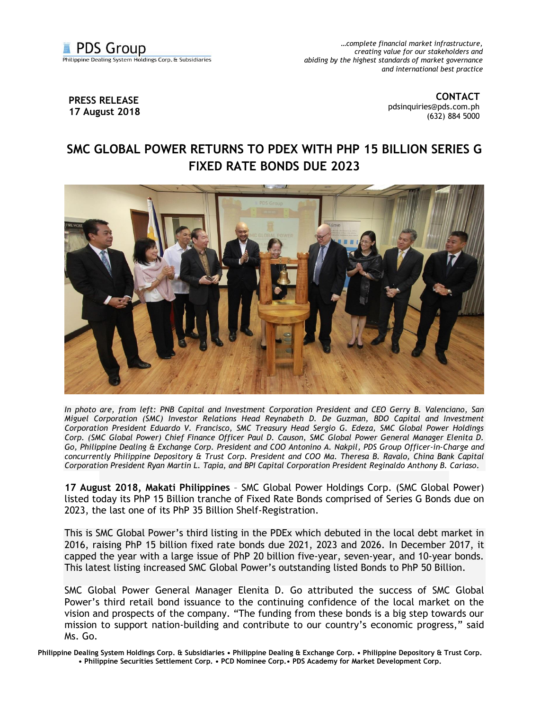

*…complete financial market infrastructure, creating value for our stakeholders and abiding by the highest standards of market governance and international best practice*

## **PRESS RELEASE 17 August 2018**

**CONTACT** [pdsinquiries@pds.com.ph](mailto:pdsinquiries@pds.com.ph) (632) 884 5000

## **SMC GLOBAL POWER RETURNS TO PDEX WITH PHP 15 BILLION SERIES G FIXED RATE BONDS DUE 2023**



*In photo are, from left: PNB Capital and Investment Corporation President and CEO Gerry B. Valenciano, San Miguel Corporation (SMC) Investor Relations Head Reynabeth D. De Guzman, BDO Capital and Investment Corporation President Eduardo V. Francisco, SMC Treasury Head Sergio G. Edeza, SMC Global Power Holdings Corp. (SMC Global Power) Chief Finance Officer Paul D. Causon, SMC Global Power General Manager Elenita D. Go, Philippine Dealing & Exchange Corp. President and COO Antonino A. Nakpil, PDS Group Officer-in-Charge and concurrently Philippine Depository & Trust Corp. President and COO Ma. Theresa B. Ravalo, China Bank Capital Corporation President Ryan Martin L. Tapia, and BPI Capital Corporation President Reginaldo Anthony B. Cariaso*.

**17 August 2018, Makati Philippines** – SMC Global Power Holdings Corp. (SMC Global Power) listed today its PhP 15 Billion tranche of Fixed Rate Bonds comprised of Series G Bonds due on 2023, the last one of its PhP 35 Billion Shelf-Registration.

This is SMC Global Power's third listing in the PDEx which debuted in the local debt market in 2016, raising PhP 15 billion fixed rate bonds due 2021, 2023 and 2026. In December 2017, it capped the year with a large issue of PhP 20 billion five-year, seven-year, and 10-year bonds. This latest listing increased SMC Global Power's outstanding listed Bonds to PhP 50 Billion.

SMC Global Power General Manager Elenita D. Go attributed the success of SMC Global Power's third retail bond issuance to the continuing confidence of the local market on the vision and prospects of the company. "The funding from these bonds is a big step towards our mission to support nation-building and contribute to our country's economic progress," said Ms. Go.

**Philippine Dealing System Holdings Corp. & Subsidiaries • Philippine Dealing & Exchange Corp. • Philippine Depository & Trust Corp. • Philippine Securities Settlement Corp. • PCD Nominee Corp.• PDS Academy for Market Development Corp.**